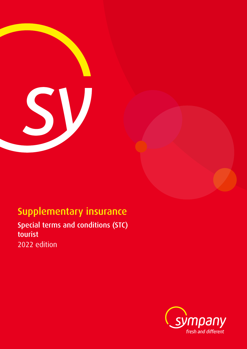

# Supplementary insurance

Special terms and conditions (STC) tourist 2022 edition

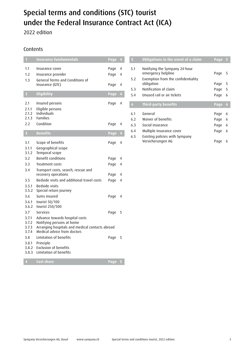## Special terms and conditions (STC) tourist under the Federal Insurance Contract Act (ICA)

2022 edition

## Contents

| $\blacksquare$                   | <b>Insurance fundamentals</b>                                                                                                                 | Page         | $\sqrt{4}$          |
|----------------------------------|-----------------------------------------------------------------------------------------------------------------------------------------------|--------------|---------------------|
| 1.1<br>1.2<br>1.3                | Insurance cover<br>Insurance provider<br>General Terms and Conditions of                                                                      | Page<br>Page | $\overline{4}$<br>4 |
|                                  | Insurance (GTC)                                                                                                                               | Page         | $\overline{4}$      |
| $\overline{2}$                   | Eligibility                                                                                                                                   | Page         | $\overline{4}$      |
| 2.1<br>2.1.1<br>2.1.2<br>2.1.3   | Insured persons<br>Eligible persons<br>Individuals<br><b>Families</b>                                                                         | Page         | $\overline{4}$      |
| 2.2                              | Condition                                                                                                                                     | Page         | 4                   |
| $\overline{\mathbf{3}}$          | <b>Benefits</b>                                                                                                                               | Page         | $\overline{4}$      |
| 3.1<br>3.1.1<br>3.1.2            | Scope of benefits<br>Geographical scope<br>Temporal scope                                                                                     | Page         | $\overline{4}$      |
| 3.2                              | <b>Benefit conditions</b>                                                                                                                     | Page         | 4                   |
| 3.3                              | Treatment costs                                                                                                                               | Page         | 4                   |
| 3.4                              | Transport costs, search, rescue and<br>recovery operations                                                                                    | Page         | 4                   |
| 3.5                              | Bedside visits and additional travel costs                                                                                                    | Page         | 4                   |
| 3.5.1<br>3.5.2                   | Bedside visits<br>Special return journey                                                                                                      |              |                     |
| 3.6<br>3.6.1                     | Sums insured<br>tourist 50/100                                                                                                                | Page         | 4                   |
| 3.6.2                            | tourist 250/500                                                                                                                               |              |                     |
| 3.7                              | Services                                                                                                                                      | Page         | 5                   |
| 3.7.1<br>3.7.2<br>3.7.3<br>3.7.4 | Advance towards hospital costs<br>Notifying persons at home<br>Arranging hospitals and medical contacts abroad<br>Medical advice from doctors |              |                     |
| 3.8                              | Limitation of benefits                                                                                                                        | Page         | 5                   |
| 3.8.1<br>3.8.2<br>3.8.3          | Principle<br><b>Exclusion of benefits</b><br>Limitation of benefits                                                                           |              |                     |
| $\overline{4}$                   | Cost share                                                                                                                                    | Page         | 5                   |

| 5   | Obligations in the event of a claim                 | Page | 5  |
|-----|-----------------------------------------------------|------|----|
| 5.1 | Notifying the Sympany 24-hour<br>emergency helpline | Page | -5 |
| 5.2 | Exemption from the confidentiality<br>obligation    | Page | 5  |
| 5.3 | Notification of claim                               | Page | 5  |
| 5.4 | Unused rail or air tickets                          | Page | 6  |
|     |                                                     |      |    |
| 6   | <b>Third-party benefits</b>                         | Page | 6  |
| 6.1 | General                                             | Page | 6  |
| 6.2 | Waiver of benefits                                  | Page | 6  |
| 6.3 | Social insurance                                    | Page | 6  |
| 6.4 | Multiple insurance cover                            | Page | 6  |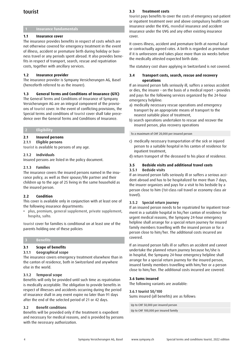## tourist

#### **1 Insurance fundamentals**

#### **1.1 Insurance cover**

The insurance provides benefits in respect of costs which are not otherwise covered for emergency treatment in the event of illness, accident or premature birth during holiday or business travel or any periods spent abroad. It also provides benefits in respect of transport, search, rescue and repatriation costs, together with ancillary services.

#### **1.2 Insurance provider**

The insurance provider is Sympany Versicherungen AG, Basel (henceforth referred to as the insurer).

#### **1.3 General Terms and Conditions of Insurance (GTC)**

The General Terms and Conditions of Insurance of Sympany Versicherungen AG are an integral component of the provisions of tourist cover. In the event of conflicting provisions, the Special terms and conditions of tourist cover shall take precedence over the General Terms and Conditions of Insurance.

#### **2 Eligibility**

#### **2.1 Insured persons**

2.1.1 Eligible persons

tourist is available to persons of any age.

#### 2.1.2 Individuals

Insured persons are listed in the policy document.

#### 2.1.3 Families

The insurance covers the insured persons named in the insurance policy, as well as their spouse/life partner and their children up to the age of 25 living in the same household as the insured person.

#### **2.2 Condition**

This cover is available only in conjunction with at least one of the following insurance departments:

• plus, premium, general supplement, private supplement, hospita, salto.

tourist cover for families is conditional on at least one of the parents holding one of these policies

#### **3 Benefits**

#### **3.1 Scope of benefits**

#### 3.1.1 Geographical scope

The insurance covers emergency treatment elsewhere than in the canton of residence, both in Switzerland and anywhere else in the world.

#### 3.1.2 Temporal scope

Benefits will only be provided until such time as repatriation is medically acceptable. The obligation to provide benefits in respect of illnesses and accidents occurring during the period of insurance shall in any event expire no later than 91 days after the end of the selected period of 21 or 42 days.

#### 3.2 Benefit conditions

Benefits will be provided only if the treatment is expedient and necessary for medical reasons, and is provided by persons with the necessary authorization.

#### **3.3 Treatment costs**

tourist pays benefits to cover the costs of emergency out-patient or inpatient treatment over and above compulsory health care insurance under the KVG, mondial insurance and accident insurance under the UVG and any other existing insurance cover.

It covers illness, accident and premature birth at normal local or contractually agreed rates. A birth is regarded as premature if it is unforeseen and takes place more than six weeks before the medically attested expected birth date.

The statutory cost share applying in Switzerland is not covered.

#### **3.4 Transport costs, search, rescue and recovery operations**

If an insured person falls seriously ill, suffers a serious accident or dies, the insurer – on the basis of a medical report – provides and pays for the following services organized by the 24-hour emergency helpline:

- a) medically necessary rescue operations and emergency transport by an appropriate means of transport to the nearest suitable place of treatment,
- b) search operations undertaken to rescue and recover the insured person, plus recovery operations

To a maximum of CHF 20,000 per insured person

- c) medically necessary transportation of the sick or injured person to a suitable hospital in his canton of residence for inpatient treatment,
- d) return transport of the deceased to his place of residence.

### **3.5 Bedside visits and additional travel costs**

#### 3.5.1 Bedside visits

If an insured person falls seriously ill or suffers a serious accident abroad and has to be hospitalized for more than 7 days, the insurer organizes and pays for a visit to his bedside by a person close to him (1st-class rail travel or economy class air travel).

#### 3.5.2 Special return journey

If an insured person needs to be repatriated for inpatient treatment in a suitable hospital in his/her canton of residence for urgent medical reasons, the Sympany 24-hour emergency helpline shall arrange for a special return journey for insured family members travelling with the insured person or for a person close to him/her. The additional costs incurred are covered.

If an insured person falls ill or suffers an accident and cannot undertake the planned return journey because he/she is in hospital, the Sympany 24-hour emergency helpline shall arrange for a special return journey for the insured person, insured family members travelling with him/her or a person close to him/her. The additional costs incurred are covered.

#### **3.6 Sums insured**

The following variants are available:

#### 3.6.1 tourist 50/100

Sums insured (all benefits) are as follows:

Up to CHF 50,000 per insured person Up to CHF 100,000 per insured family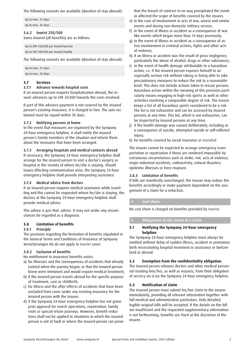The following variants are available (duration of stay abroad):

Up to max. 21 days

Up to max. 42 days

#### 3.6.2 tourist 250/500

Sums insured (all benefits) are as follows:

| Up to CHF 250,000 per insured person |  |  |
|--------------------------------------|--|--|
| Up to CHF 500,000 per insured family |  |  |

The following variants are available (duration of stay abroad):

Up to max. 21 days Up to max. 42 days

#### **3.7 Services**

#### 3.7.1 Advance towards hospital costs

If an insured person requires hospitalization abroad, the insurer advances up to CHF 20,000 towards the costs involved.

If part of this advance payment is not covered by the insured person's existing insurance, it is charged to him. The sum reclaimed must be repaid within 30 days.

#### 3.7.2 Notifying persons at home

In the event that measures are organized by the Sympany 24-hour emergency helpline, it shall notify the insured person's family members of the situation and inform them about the measures that have been arranged.

#### 3.7.3 Arranging hospitals and medical contacts abroad

If necessary, the Sympany 24-hour emergency helpline shall arrange for the insured person to visit a doctor's surgery or hospital in the vicinity of where he/she is staying. Should issues affecting communication arise, the Sympany 24-hour emergency helpline shall provide interpreting assistance.

#### 3.7.4 Medical advice from doctors

If an insured person requires medical assistance while travelling and this cannot be requested where he/she is staying, the doctors at the Sympany 24-hour emergency helpline shall provide medical advice.

This advice is just that: advice. It may not under any circumstances be regarded as a diagnosis.

#### **3.8 Limitation of benefits**

#### 3.8.1 Principle

The provision regarding the limitation of benefits stipulated in the General Terms and Conditions of Insurance of Sympany Versicherungen AG do not apply to tourist cover.

#### 3.8.2 Exclusion of benefits

No entitlement to insurance benefits exists:

- a) for illnesses and the consequences of accidents that already existed when the journey began, or that the insured person knew were imminent and would require medical treatment,
- b) if the insured person travels abroad for the specific purpose of treatment, care or childbirth,
- c) for illness and the after-effects of accidents that have been excluded from cover under any existing insurance for the insured person with the insurer,
- d) if the Sympany 24-hour emergency helpline has not given prior approval for search operations, repatriation, family visits or special return journeys. However, benefit reductions shall not be applied to situations in which the insured person is not at fault or where the insured person can prove

that the breach of contract in no way precipitated the event or affected the scope of benefits covered by the insurer,

- e) in the case of involvement in acts of war, unrest and similar events and during non-domestic military service,
- f) in the event of illness or accident as a consequence of war like events which began more than 14 days previously,
- g) in the event of illness or accident as a consequence of active involvement in criminal actions, fights and other acts of violence,
- h) if an illness or accident was the result of gross negligence, particularly the abuse of alcohol, drugs or other substances,
- i) in the event of health damage attributable to a hazardous action, i.e. if the insured person exposes himself to an especially serious risk without taking or being able to take precautionary measures to reduce the risk to a reasonable level. This does not include actions taken to rescue persons. Hazardous action within the meaning of this provision particularly means engaging in high-risk sports as well as other activities involving a comparable degree of risk. The insurer keeps a list of all hazardous sports considered to be a risk. The list is not exhaustive and can be accessed by insured persons at any time. This list, which is not exhaustive, can be inspected by insured persons at any time,
- j) if the health damage was caused deliberately, including as a consequence of suicide, attempted suicide or self-inflicted injury,
- k) for benefits covered by social insurance or mondial.

The insurer cannot be expected to arrange emergency transportation or repatriation if these are rendered impossible by extraneous circumstances such as strike, riot, acts of violence, major industrial accidents, radioactivity, natural disasters, epidemic illnesses or force majeure.

#### 3.8.3 Limitation of benefits

If bills are manifestly overcharged, the insurer may reduce the benefits accordingly or make payment dependent on the assignment of a claim for a reduction.

#### **4 Cost share**

No cost share is charged on benefits provided by tourist.

#### **5 Obligations in the event of a claim**

#### **5.1 Notifying the Sympany 24-hour emergency helpline**

The Sympany 24-hour emergency helpline must always be notified without delay of sudden illness, accident or premature birth necessitating hospital treatment or assistance in Switzerland or abroad.

#### **5.2 Exemption from the confidentiality obligation**

The insured person releases doctors and other medical personnel treating him/her, as well as insurers, from their obligation of secrecy vis-à-vis the Sympany 24-hour emergency helpline.

#### **5.3 Notification of claim**

The insured person must submit his/her claim to the insurer immediately, providing all relevant information together with full medical and administrative particulars. Only detailed, legible original bills will be accepted. If the details on the bill are insufficient and the requested supplementary information is not forthcoming, benefits are fixed at the discretion of the insurer.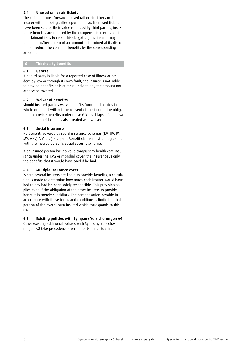#### **5.4 Unused rail or air tickets**

The claimant must forward unused rail or air tickets to the insurer without being called upon to do so. If unused tickets have been sold or their value refunded by third parties, insurance benefits are reduced by the compensation received. If the claimant fails to meet this obligation, the insurer may require him/her to refund an amount determined at its discretion or reduce the claim for benefits by the corresponding amount.

#### **6 Third-party benefits**

#### **6.1 General**

If a third party is liable for a reported case of illness or accident by law or through its own fault, the insurer is not liable to provide benefits or is at most liable to pay the amount not otherwise covered.

#### **6.2 Waiver of benefits**

Should insured parties waive benefits from third parties in whole or in part without the consent of the insurer, the obligation to provide benefits under these GTC shall lapse. Capitalisation of a benefit claim is also treated as a waiver.

#### **6.3 Social insurance**

No benefits covered by social insurance schemes (KV, UV, IV, MV, AHV, AIV, etc.) are paid. Benefit claims must be registered with the insured person's social security scheme.

If an insured person has no valid compulsory health care insurance under the KVG or mondial cover, the insurer pays only the benefits that it would have paid if he had.

#### **6.4 Multiple insurance cover**

Where several insurers are liable to provide benefits, a calculation is made to determine how much each insurer would have had to pay had he been solely responsible. This provision applies even if the obligation of the other insurers to provide benefits is merely subsidiary. The compensation payable in accordance with these terms and conditions is limited to that portion of the overall sum insured which corresponds to this cover.

#### **6.5 Existing policies with Sympany Versicherungen AG**

Other existing additional policies with Sympany Versicherungen AG take precedence over benefits under tourist.